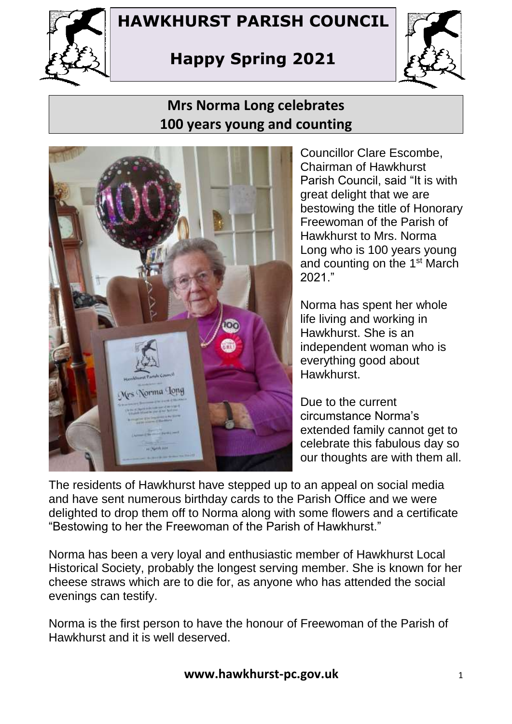

## **HAWKHURST PARISH COUNCIL**

# **Happy Spring 2021**



## **Mrs Norma Long celebrates 100 years young and counting**



Councillor Clare Escombe, Chairman of Hawkhurst Parish Council, said "It is with great delight that we are bestowing the title of Honorary Freewoman of the Parish of Hawkhurst to Mrs. Norma Long who is 100 years young and counting on the 1<sup>st</sup> March 2021."

Norma has spent her whole life living and working in Hawkhurst. She is an independent woman who is everything good about **Hawkhurst** 

Due to the current circumstance Norma's extended family cannot get to celebrate this fabulous day so our thoughts are with them all.

The residents of Hawkhurst have stepped up to an appeal on social media and have sent numerous birthday cards to the Parish Office and we were delighted to drop them off to Norma along with some flowers and a certificate "Bestowing to her the Freewoman of the Parish of Hawkhurst."

Norma has been a very loyal and enthusiastic member of Hawkhurst Local Historical Society, probably the longest serving member. She is known for her cheese straws which are to die for, as anyone who has attended the social evenings can testify.

Norma is the first person to have the honour of Freewoman of the Parish of Hawkhurst and it is well deserved.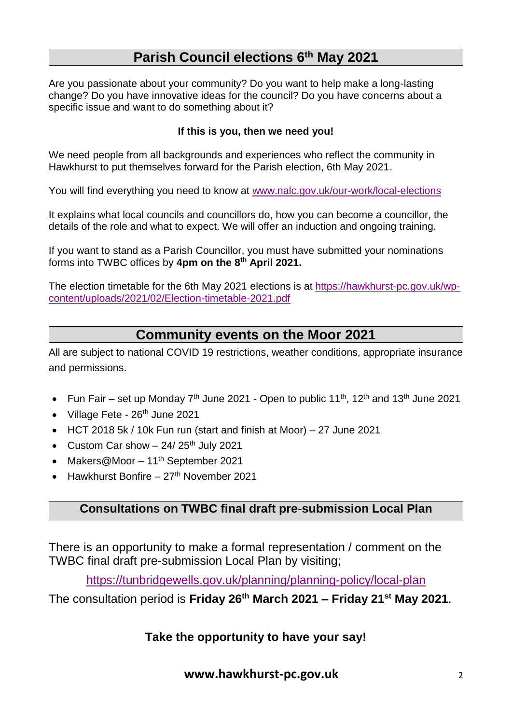### **Parish Council elections 6th May 2021**

Are you passionate about your community? Do you want to help make a long-lasting change? Do you have innovative ideas for the council? Do you have concerns about a specific issue and want to do something about it?

#### **If this is you, then we need you!**

We need people from all backgrounds and experiences who reflect the community in Hawkhurst to put themselves forward for the Parish election, 6th May 2021.

You will find everything you need to know at [www.nalc.gov.uk/our-work/local-elections](http://www.nalc.gov.uk/our-work/local-elections)

It explains what local councils and councillors do, how you can become a councillor, the details of the role and what to expect. We will offer an induction and ongoing training.

If you want to stand as a Parish Councillor, you must have submitted your nominations forms into TWBC offices by **4pm on the 8th April 2021.**

The election timetable for the 6th May 2021 elections is at [https://hawkhurst-pc.gov.uk/wp](https://hawkhurst-pc.gov.uk/wp-content/uploads/2021/02/Election-timetable-2021.pdf)[content/uploads/2021/02/Election-timetable-2021.pdf](https://hawkhurst-pc.gov.uk/wp-content/uploads/2021/02/Election-timetable-2021.pdf)

### **Community events on the Moor 2021**

All are subject to national COVID 19 restrictions, weather conditions, appropriate insurance and permissions.

- Fun Fair set up Monday  $7<sup>th</sup>$  June 2021 Open to public 11<sup>th</sup>, 12<sup>th</sup> and 13<sup>th</sup> June 2021
- Village Fete  $26<sup>th</sup>$  June 2021
- HCT 2018 5k / 10k Fun run (start and finish at Moor) 27 June 2021
- Custom Car show  $-$  24/ 25<sup>th</sup> July 2021
- Makers@Moor  $11<sup>th</sup>$  September 2021
- Hawkhurst Bonfire 27th November 2021

#### **Consultations on TWBC final draft pre-submission Local Plan**

There is an opportunity to make a formal representation / comment on the TWBC final draft pre-submission Local Plan by visiting;

<https://tunbridgewells.gov.uk/planning/planning-policy/local-plan>

The consultation period is **Friday 26th March 2021 – Friday 21st May 2021**.

**Take the opportunity to have your say!**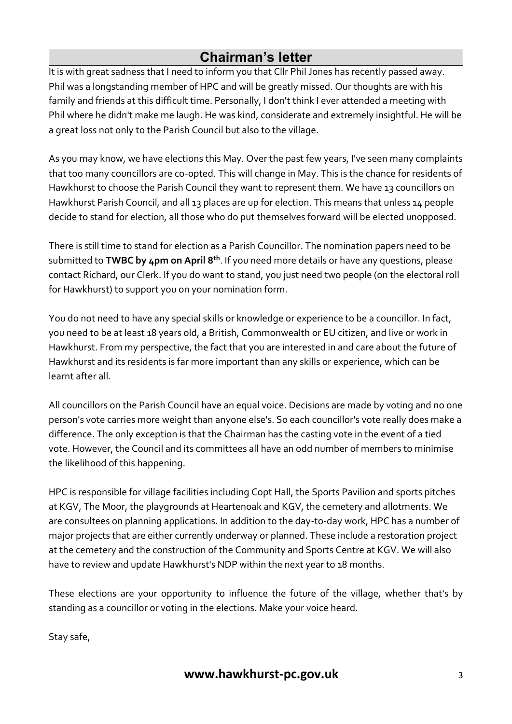### **Chairman's letter**

It is with great sadness that I need to inform you that Cllr Phil Jones has recently passed away. Phil was a longstanding member of HPC and will be greatly missed. Our thoughts are with his family and friends at this difficult time. Personally, I don't think I ever attended a meeting with Phil where he didn't make me laugh. He was kind, considerate and extremely insightful. He will be a great loss not only to the Parish Council but also to the village.

As you may know, we have elections this May. Over the past few years, I've seen many complaints that too many councillors are co-opted. This will change in May. This is the chance for residents of Hawkhurst to choose the Parish Council they want to represent them. We have 13 councillors on Hawkhurst Parish Council, and all 13 places are up for election. This means that unless 14 people decide to stand for election, all those who do put themselves forward will be elected unopposed.

There is still time to stand for election as a Parish Councillor. The nomination papers need to be submitted to **TWBC by 4pm on April 8th**. If you need more details or have any questions, please contact Richard, our Clerk. If you do want to stand, you just need two people (on the electoral roll for Hawkhurst) to support you on your nomination form.

You do not need to have any special skills or knowledge or experience to be a councillor. In fact, you need to be at least 18 years old, a British, Commonwealth or EU citizen, and live or work in Hawkhurst. From my perspective, the fact that you are interested in and care about the future of Hawkhurst and its residents is far more important than any skills or experience, which can be learnt after all.

All councillors on the Parish Council have an equal voice. Decisions are made by voting and no one person's vote carries more weight than anyone else's. So each councillor's vote really does make a difference. The only exception is that the Chairman has the casting vote in the event of a tied vote. However, the Council and its committees all have an odd number of members to minimise the likelihood of this happening.

HPC is responsible for village facilities including Copt Hall, the Sports Pavilion and sports pitches at KGV, The Moor, the playgrounds at Heartenoak and KGV, the cemetery and allotments. We are consultees on planning applications. In addition to the day-to-day work, HPC has a number of major projects that are either currently underway or planned. These include a restoration project at the cemetery and the construction of the Community and Sports Centre at KGV. We will also have to review and update Hawkhurst's NDP within the next year to 18 months.

These elections are your opportunity to influence the future of the village, whether that's by standing as a councillor or voting in the elections. Make your voice heard.

Stay safe,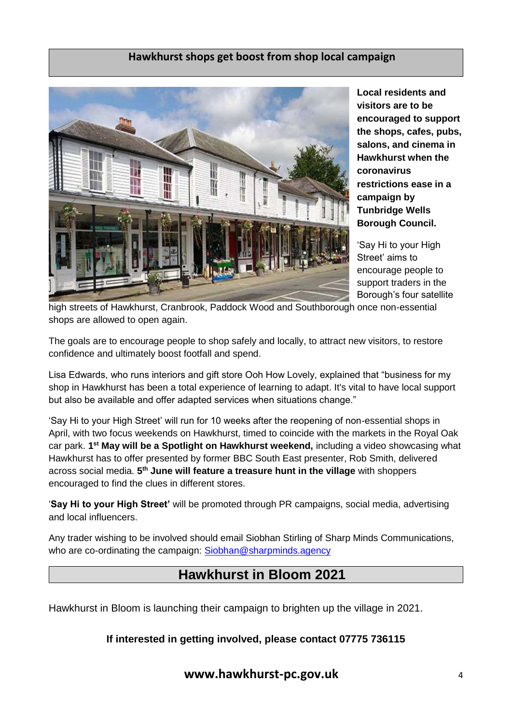#### **Hawkhurst shops get boost from shop local campaign**



**Local residents and visitors are to be encouraged to support the shops, cafes, pubs, salons, and cinema in Hawkhurst when the coronavirus restrictions ease in a campaign by Tunbridge Wells Borough Council.** 

'Say Hi to your High Street' aims to encourage people to support traders in the Borough's four satellite

high streets of Hawkhurst, Cranbrook, Paddock Wood and Southborough once non-essential shops are allowed to open again.

The goals are to encourage people to shop safely and locally, to attract new visitors, to restore confidence and ultimately boost footfall and spend.

Lisa Edwards, who runs interiors and gift store Ooh How Lovely, explained that "business for my shop in Hawkhurst has been a total experience of learning to adapt. It's vital to have local support but also be available and offer adapted services when situations change."

'Say Hi to your High Street' will run for 10 weeks after the reopening of non-essential shops in April, with two focus weekends on Hawkhurst, timed to coincide with the markets in the Royal Oak car park. 1<sup>st</sup> May will be a Spotlight on Hawkhurst weekend, including a video showcasing what Hawkhurst has to offer presented by former BBC South East presenter, Rob Smith, delivered across social media. **5 th June will feature a treasure hunt in the village** with shoppers encouraged to find the clues in different stores.

'**Say Hi to your High Street'** will be promoted through PR campaigns, social media, advertising and local influencers.

Any trader wishing to be involved should email Siobhan Stirling of Sharp Minds Communications, who are co-ordinating the campaign: [Siobhan@sharpminds.agency](mailto:Siobhan@sharpminds.agency)

### **Hawkhurst in Bloom 2021**

Hawkhurst in Bloom is launching their campaign to brighten up the village in 2021.

#### **If interested in getting involved, please contact 07775 736115**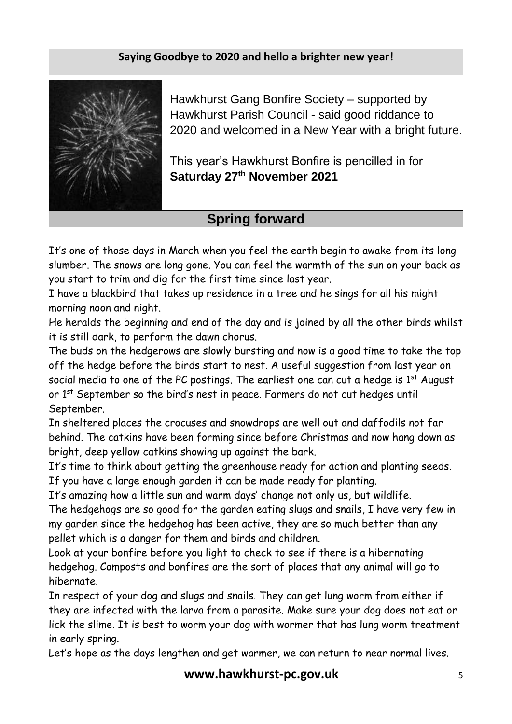### **Saying Goodbye to 2020 and hello a brighter new year!**



Hawkhurst Gang Bonfire Society – supported by Hawkhurst Parish Council - said good riddance to 2020 and welcomed in a New Year with a bright future.

This year's Hawkhurst Bonfire is pencilled in for **Saturday 27th November 2021**

### **Spring forward**

It's one of those days in March when you feel the earth begin to awake from its long slumber. The snows are long gone. You can feel the warmth of the sun on your back as you start to trim and dig for the first time since last year.

I have a blackbird that takes up residence in a tree and he sings for all his might morning noon and night.

He heralds the beginning and end of the day and is joined by all the other birds whilst it is still dark, to perform the dawn chorus.

The buds on the hedgerows are slowly bursting and now is a good time to take the top off the hedge before the birds start to nest. A useful suggestion from last year on social media to one of the PC postings. The earliest one can cut a hedge is  $1<sup>st</sup>$  August or 1<sup>st</sup> September so the bird's nest in peace. Farmers do not cut hedges until September.

In sheltered places the crocuses and snowdrops are well out and daffodils not far behind. The catkins have been forming since before Christmas and now hang down as bright, deep yellow catkins showing up against the bark.

It's time to think about getting the greenhouse ready for action and planting seeds. If you have a large enough garden it can be made ready for planting.

It's amazing how a little sun and warm days' change not only us, but wildlife. The hedgehogs are so good for the garden eating slugs and snails, I have very few in my garden since the hedgehog has been active, they are so much better than any pellet which is a danger for them and birds and children.

Look at your bonfire before you light to check to see if there is a hibernating hedgehog. Composts and bonfires are the sort of places that any animal will go to hibernate.

In respect of your dog and slugs and snails. They can get lung worm from either if they are infected with the larva from a parasite. Make sure your dog does not eat or lick the slime. It is best to worm your dog with wormer that has lung worm treatment in early spring.

Let's hope as the days lengthen and get warmer, we can return to near normal lives.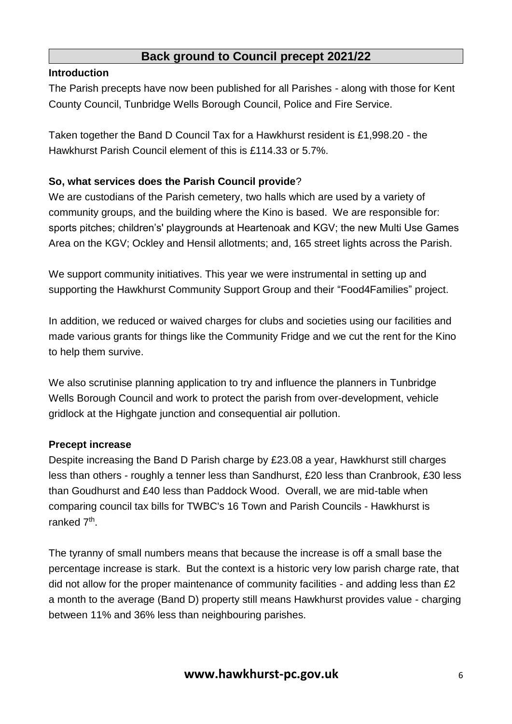### **Back ground to Council precept 2021/22**

#### **Introduction**

The Parish precepts have now been published for all Parishes - along with those for Kent County Council, Tunbridge Wells Borough Council, Police and Fire Service.

Taken together the Band D Council Tax for a Hawkhurst resident is £1,998.20 - the Hawkhurst Parish Council element of this is £114.33 or 5.7%.

#### **So, what services does the Parish Council provide**?

We are custodians of the Parish cemetery, two halls which are used by a variety of community groups, and the building where the Kino is based. We are responsible for: sports pitches; children's' playgrounds at Heartenoak and KGV; the new Multi Use Games Area on the KGV; Ockley and Hensil allotments; and, 165 street lights across the Parish.

We support community initiatives. This year we were instrumental in setting up and supporting the Hawkhurst Community Support Group and their "Food4Families" project.

In addition, we reduced or waived charges for clubs and societies using our facilities and made various grants for things like the Community Fridge and we cut the rent for the Kino to help them survive.

We also scrutinise planning application to try and influence the planners in Tunbridge Wells Borough Council and work to protect the parish from over-development, vehicle gridlock at the Highgate junction and consequential air pollution.

#### **Precept increase**

Despite increasing the Band D Parish charge by £23.08 a year, Hawkhurst still charges less than others - roughly a tenner less than Sandhurst, £20 less than Cranbrook, £30 less than Goudhurst and £40 less than Paddock Wood. Overall, we are mid-table when comparing council tax bills for TWBC's 16 Town and Parish Councils - Hawkhurst is ranked 7<sup>th</sup>.

The tyranny of small numbers means that because the increase is off a small base the percentage increase is stark. But the context is a historic very low parish charge rate, that did not allow for the proper maintenance of community facilities - and adding less than £2 a month to the average (Band D) property still means Hawkhurst provides value - charging between 11% and 36% less than neighbouring parishes.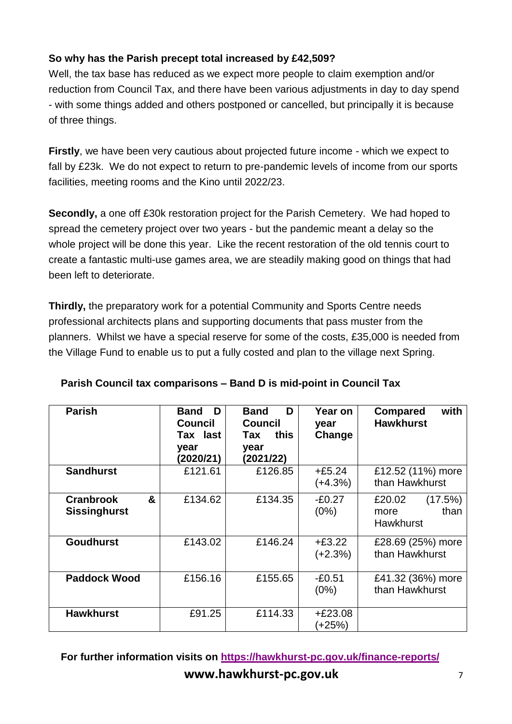### **So why has the Parish precept total increased by £42,509?**

Well, the tax base has reduced as we expect more people to claim exemption and/or reduction from Council Tax, and there have been various adjustments in day to day spend - with some things added and others postponed or cancelled, but principally it is because of three things.

**Firstly**, we have been very cautious about projected future income - which we expect to fall by £23k. We do not expect to return to pre-pandemic levels of income from our sports facilities, meeting rooms and the Kino until 2022/23.

**Secondly,** a one off £30k restoration project for the Parish Cemetery. We had hoped to spread the cemetery project over two years - but the pandemic meant a delay so the whole project will be done this year. Like the recent restoration of the old tennis court to create a fantastic multi-use games area, we are steadily making good on things that had been left to deteriorate.

**Thirdly,** the preparatory work for a potential Community and Sports Centre needs professional architects plans and supporting documents that pass muster from the planners. Whilst we have a special reserve for some of the costs, £35,000 is needed from the Village Fund to enable us to put a fully costed and plan to the village next Spring.

| <b>Parish</b>                                | <b>Band</b><br>D<br><b>Council</b><br>Tax last<br>year<br>(2020/21) | D<br><b>Band</b><br>Council<br>this<br>Tax<br>year<br>(2021/22) | Year on<br>year<br>Change | with<br><b>Compared</b><br><b>Hawkhurst</b>    |
|----------------------------------------------|---------------------------------------------------------------------|-----------------------------------------------------------------|---------------------------|------------------------------------------------|
| <b>Sandhurst</b>                             | £121.61                                                             | £126.85                                                         | $+£5.24$<br>$(+4.3%)$     | £12.52 (11%) more<br>than Hawkhurst            |
| &<br><b>Cranbrook</b><br><b>Sissinghurst</b> | £134.62                                                             | £134.35                                                         | $-E0.27$<br>(0%)          | £20.02<br>(17.5%)<br>than<br>more<br>Hawkhurst |
| <b>Goudhurst</b>                             | £143.02                                                             | £146.24                                                         | $+£3.22$<br>$(+2.3%)$     | £28.69 (25%) more<br>than Hawkhurst            |
| <b>Paddock Wood</b>                          | £156.16                                                             | £155.65                                                         | $-£0.51$<br>(0%)          | £41.32 (36%) more<br>than Hawkhurst            |
| <b>Hawkhurst</b>                             | £91.25                                                              | £114.33                                                         | $+£23.08$<br>(+25%)       |                                                |

**Parish Council tax comparisons – Band D is mid-point in Council Tax**

**www.hawkhurst-pc.gov.uk**<sup>7</sup> **For further information visits on<https://hawkhurst-pc.gov.uk/finance-reports/>**